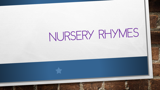## NURSERY RHYMES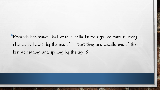• Research has shown that when a child knows eight or more nursery rhymes by heart, by the age of 4, that they are usually one of the best at reading and spelling by the age 8.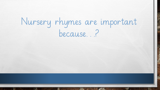## Nursery rhymes are important because...?

 $\frac{1}{2}$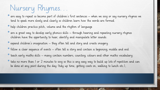## Nursery Rhymes…

- are easy to repeat so become part of children's first sentences when we sing or say nursery rhymes we tend to speak more slowly and clearly so children learn how the words are formed.
- help children practice pitch, volume and the rhythm of language
- are a great way to develop early phonics skills through hearing and repeating nursery rhymes children have the opportunity to hear, identify and manipulate letter sounds.
- •expand children's imagination they often tell and story and create imagery.
- •follow a clear sequence of events often tell a story and contain a beginning, middle and end.
- •teach early maths skills many contain numbers, counting, colours and other maths vocabulary.
- take no more than I or 2 minutes to sing so this is any easy way to build up lots of repetition and can be done at any point during the day (tidy up time, getting coats on, walking to lunch etc.),